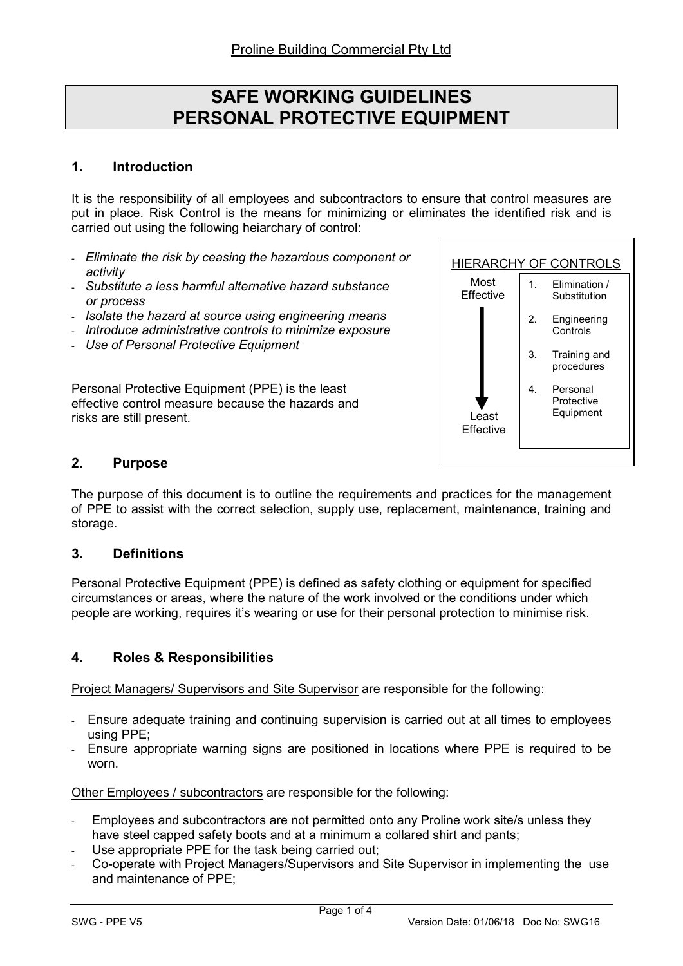# SAFE WORKING GUIDELINES PERSONAL PROTECTIVE EQUIPMENT

## 1. Introduction

It is the responsibility of all employees and subcontractors to ensure that control measures are put in place. Risk Control is the means for minimizing or eliminates the identified risk and is carried out using the following heiarchary of control:

- Eliminate the risk by ceasing the hazardous component or activity
- Substitute a less harmful alternative hazard substance or process
- Isolate the hazard at source using engineering means
- Introduce administrative controls to minimize exposure
- Use of Personal Protective Equipment

Personal Protective Equipment (PPE) is the least effective control measure because the hazards and risks are still present.



## 2. Purpose

The purpose of this document is to outline the requirements and practices for the management of PPE to assist with the correct selection, supply use, replacement, maintenance, training and storage.

## 3. Definitions

Personal Protective Equipment (PPE) is defined as safety clothing or equipment for specified circumstances or areas, where the nature of the work involved or the conditions under which people are working, requires it's wearing or use for their personal protection to minimise risk.

# 4. Roles & Responsibilities

Project Managers/ Supervisors and Site Supervisor are responsible for the following:

- Ensure adequate training and continuing supervision is carried out at all times to employees using PPE;
- Ensure appropriate warning signs are positioned in locations where PPE is required to be worn.

Other Employees / subcontractors are responsible for the following:

- Employees and subcontractors are not permitted onto any Proline work site/s unless they have steel capped safety boots and at a minimum a collared shirt and pants;
- Use appropriate PPE for the task being carried out:
- Co-operate with Project Managers/Supervisors and Site Supervisor in implementing the use and maintenance of PPE;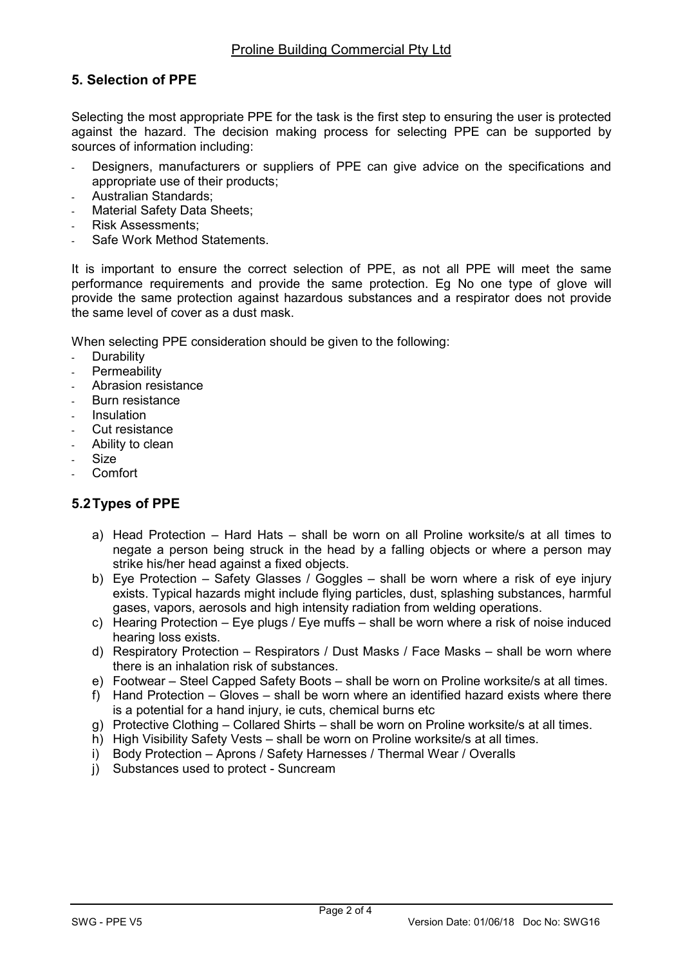# 5. Selection of PPE

Selecting the most appropriate PPE for the task is the first step to ensuring the user is protected against the hazard. The decision making process for selecting PPE can be supported by sources of information including:

- Designers, manufacturers or suppliers of PPE can give advice on the specifications and appropriate use of their products;
- Australian Standards:
- Material Safety Data Sheets;
- Risk Assessments:
- Safe Work Method Statements

It is important to ensure the correct selection of PPE, as not all PPE will meet the same performance requirements and provide the same protection. Eg No one type of glove will provide the same protection against hazardous substances and a respirator does not provide the same level of cover as a dust mask.

When selecting PPE consideration should be given to the following:

- **Durability**
- **Permeability**
- Abrasion resistance
- Burn resistance
- **Insulation**
- Cut resistance
- Ability to clean
- Size
- Comfort

## 5.2 Types of PPE

- a) Head Protection Hard Hats shall be worn on all Proline worksite/s at all times to negate a person being struck in the head by a falling objects or where a person may strike his/her head against a fixed objects.
- b) Eye Protection Safety Glasses / Goggles shall be worn where a risk of eye injury exists. Typical hazards might include flying particles, dust, splashing substances, harmful gases, vapors, aerosols and high intensity radiation from welding operations.
- c) Hearing Protection Eye plugs / Eye muffs shall be worn where a risk of noise induced hearing loss exists.
- d) Respiratory Protection Respirators / Dust Masks / Face Masks shall be worn where there is an inhalation risk of substances.
- e) Footwear Steel Capped Safety Boots shall be worn on Proline worksite/s at all times.
- f) Hand Protection Gloves shall be worn where an identified hazard exists where there is a potential for a hand injury, ie cuts, chemical burns etc
- g) Protective Clothing Collared Shirts shall be worn on Proline worksite/s at all times.
- h) High Visibility Safety Vests shall be worn on Proline worksite/s at all times.
- i) Body Protection Aprons / Safety Harnesses / Thermal Wear / Overalls
- j) Substances used to protect Suncream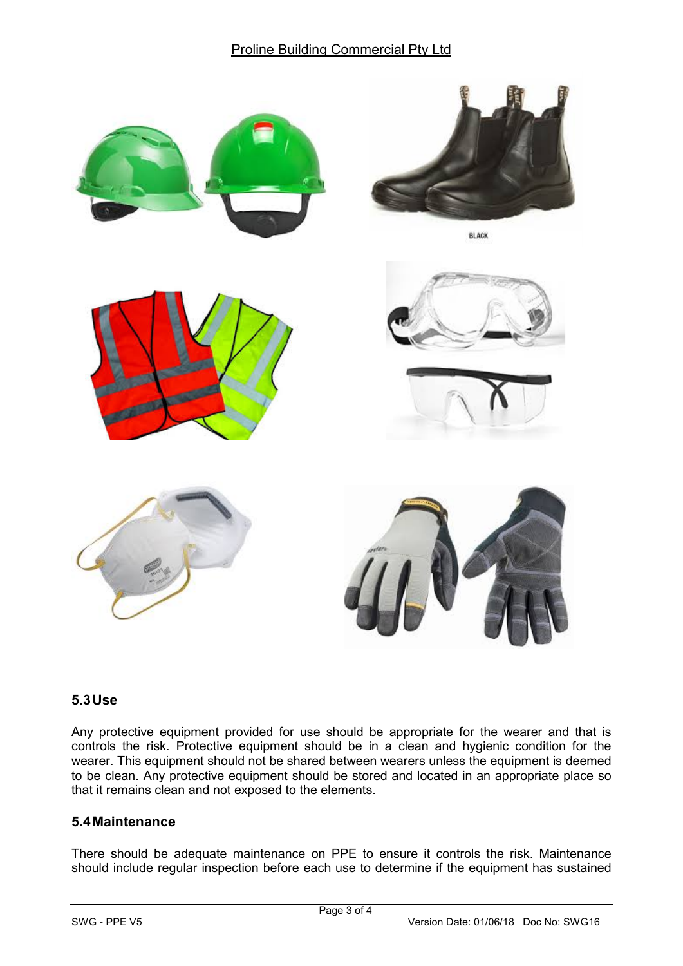## Proline Building Commercial Pty Ltd



# 5.3 Use

Any protective equipment provided for use should be appropriate for the wearer and that is controls the risk. Protective equipment should be in a clean and hygienic condition for the wearer. This equipment should not be shared between wearers unless the equipment is deemed to be clean. Any protective equipment should be stored and located in an appropriate place so that it remains clean and not exposed to the elements.

## 5.4 Maintenance

There should be adequate maintenance on PPE to ensure it controls the risk. Maintenance should include regular inspection before each use to determine if the equipment has sustained